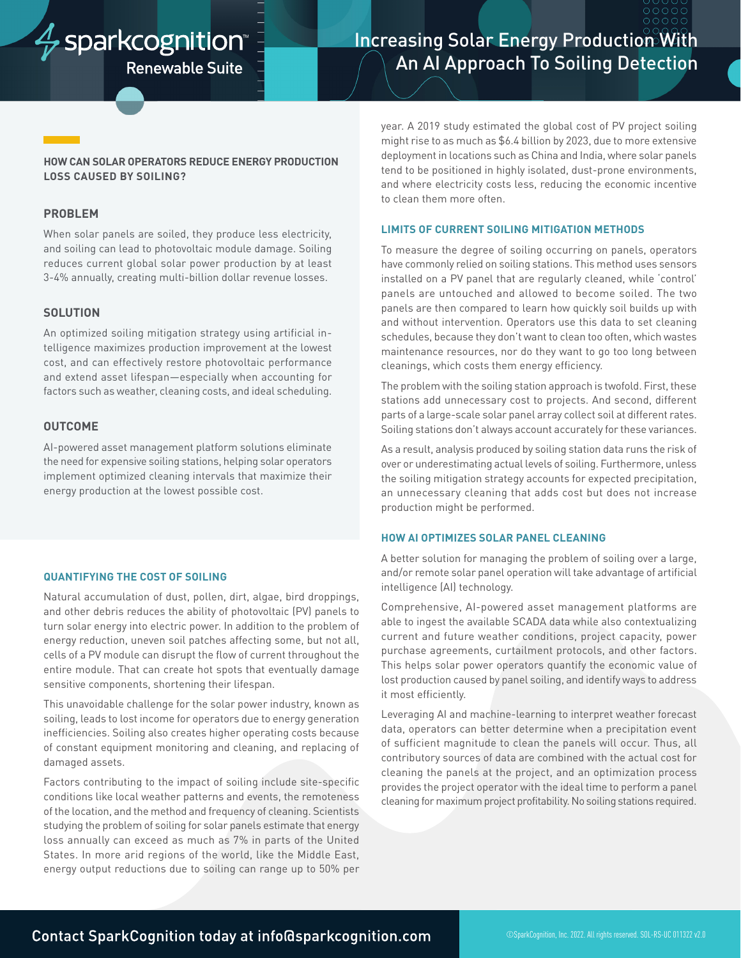# $\frac{1}{V}$  sparkcognition

**Renewable Suite** 

# **Increasing Solar Energy Production With** An AI Approach To Soiling Detection

# **HOW CAN SOLAR OPERATORS REDUCE ENERGY PRODUCTION LOSS CAUSED BY SOILING?**

#### **PROBLEM**

When solar panels are soiled, they produce less electricity, and soiling can lead to photovoltaic module damage. Soiling reduces current global solar power production by at least 3-4% annually, creating multi-billion dollar revenue losses.

# **SOLUTION**

An optimized soiling mitigation strategy using artificial intelligence maximizes production improvement at the lowest cost, and can effectively restore photovoltaic performance and extend asset lifespan—especially when accounting for factors such as weather, cleaning costs, and ideal scheduling.

# **OUTCOME**

AI-powered asset management platform solutions eliminate the need for expensive soiling stations, helping solar operators implement optimized cleaning intervals that maximize their energy production at the lowest possible cost.

#### **QUANTIFYING THE COST OF SOILING**

Natural accumulation of dust, pollen, dirt, algae, bird droppings, and other debris reduces the ability of photovoltaic (PV) panels to turn solar energy into electric power. In addition to the problem of energy reduction, uneven soil patches affecting some, but not all, cells of a PV module can disrupt the flow of current throughout the entire module. That can create hot spots that eventually damage sensitive components, shortening their lifespan.

This unavoidable challenge for the solar power industry, known as soiling, leads to lost income for operators due to energy generation inefficiencies. Soiling also creates higher operating costs because of constant equipment monitoring and cleaning, and replacing of damaged assets.

Factors contributing to the impact of soiling include site-specific conditions like local weather patterns and events, the remoteness of the location, and the method and frequency of cleaning. Scientists studying the problem of soiling for solar panels estimate that energy loss annually can exceed as much as 7% in parts of the United States. In more arid regions of the world, like the Middle East, energy output reductions due to soiling can range up to 50% per

year. A 2019 study estimated the global cost of PV project soiling might rise to as much as \$6.4 billion by 2023, due to more extensive deployment in locations such as China and India, where solar panels tend to be positioned in highly isolated, dust-prone environments, and where electricity costs less, reducing the economic incentive to clean them more often.

#### **LIMITS OF CURRENT SOILING MITIGATION METHODS**

To measure the degree of soiling occurring on panels, operators have commonly relied on soiling stations. This method uses sensors installed on a PV panel that are regularly cleaned, while 'control' panels are untouched and allowed to become soiled. The two panels are then compared to learn how quickly soil builds up with and without intervention. Operators use this data to set cleaning schedules, because they don't want to clean too often, which wastes maintenance resources, nor do they want to go too long between cleanings, which costs them energy efficiency.

The problem with the soiling station approach is twofold. First, these stations add unnecessary cost to projects. And second, different parts of a large-scale solar panel array collect soil at different rates. Soiling stations don't always account accurately for these variances.

As a result, analysis produced by soiling station data runs the risk of over or underestimating actual levels of soiling. Furthermore, unless the soiling mitigation strategy accounts for expected precipitation, an unnecessary cleaning that adds cost but does not increase production might be performed.

#### **HOW AI OPTIMIZES SOLAR PANEL CLEANING**

A better solution for managing the problem of soiling over a large, and/or remote solar panel operation will take advantage of artificial intelligence (AI) technology.

Comprehensive, AI-powered asset management platforms are able to ingest the available SCADA data while also contextualizing current and future weather conditions, project capacity, power purchase agreements, curtailment protocols, and other factors. This helps solar power operators quantify the economic value of lost production caused by panel soiling, and identify ways to address it most efficiently.

Leveraging AI and machine-learning to interpret weather forecast data, operators can better determine when a precipitation event of sufficient magnitude to clean the panels will occur. Thus, all contributory sources of data are combined with the actual cost for cleaning the panels at the project, and an optimization process provides the project operator with the ideal time to perform a panel cleaning for maximum project profitability. No soiling stations required.